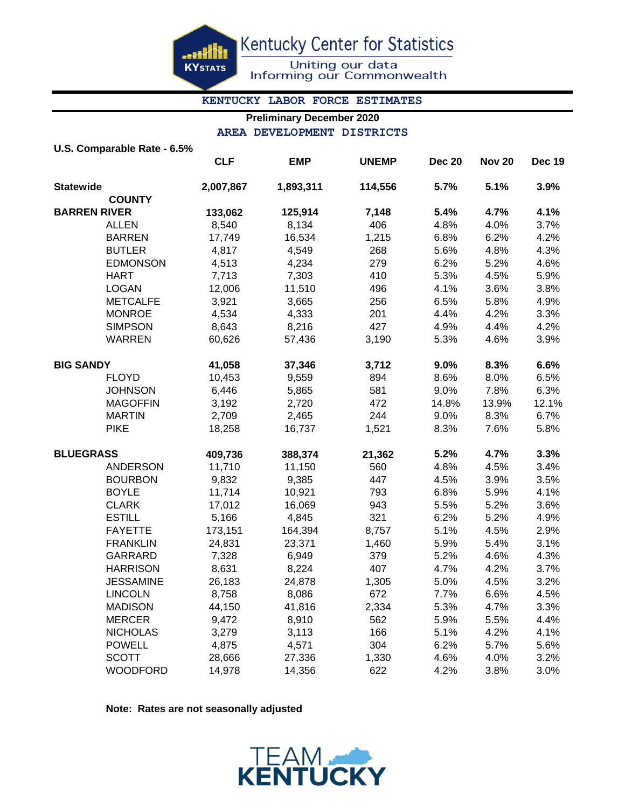<u>....Kit</u> **KYSTATS**  Kentucky Center for Statistics

Uniting our data<br>Informing our Commonwealth

#### **KENTUCKY LABOR FORCE ESTIMATES**

### **Preliminary December 2020 AREA DEVELOPMENT DISTRICTS**

| U.S. Comparable Rate - 6.5% |                                                                                 |            |              |               |               |        |
|-----------------------------|---------------------------------------------------------------------------------|------------|--------------|---------------|---------------|--------|
|                             | <b>CLF</b>                                                                      | <b>EMP</b> | <b>UNEMP</b> | <b>Dec 20</b> | <b>Nov 20</b> | Dec 19 |
|                             | 2,007,867                                                                       | 1,893,311  | 114,556      | 5.7%          | 5.1%          | 3.9%   |
| <b>COUNTY</b>               |                                                                                 |            |              |               |               |        |
|                             | 133,062                                                                         | 125,914    | 7,148        | 5.4%          | 4.7%          | 4.1%   |
| <b>ALLEN</b>                | 8,540                                                                           | 8,134      |              | 4.8%          | 4.0%          | 3.7%   |
| <b>BARREN</b>               | 17,749                                                                          | 16,534     | 1,215        | 6.8%          | 6.2%          | 4.2%   |
| <b>BUTLER</b>               | 4,817                                                                           | 4,549      | 268          | 5.6%          | 4.8%          | 4.3%   |
| <b>EDMONSON</b>             | 4,513                                                                           | 4,234      | 279          | 6.2%          | 5.2%          | 4.6%   |
| <b>HART</b>                 | 7,713                                                                           | 7,303      | 410          | 5.3%          | 4.5%          | 5.9%   |
| <b>LOGAN</b>                | 12,006                                                                          | 11,510     | 496          | 4.1%          | 3.6%          | 3.8%   |
| <b>METCALFE</b>             | 3,921                                                                           | 3,665      | 256          | 6.5%          | 5.8%          | 4.9%   |
| <b>MONROE</b>               | 4,534                                                                           | 4,333      | 201          | 4.4%          | 4.2%          | 3.3%   |
| <b>SIMPSON</b>              | 8,643                                                                           | 8,216      | 427          | 4.9%          | 4.4%          | 4.2%   |
| <b>WARREN</b>               | 60,626                                                                          | 57,436     | 3,190        | 5.3%          | 4.6%          | 3.9%   |
|                             | 41,058                                                                          | 37,346     | 3,712        | 9.0%          | 8.3%          | 6.6%   |
| <b>FLOYD</b>                | 10,453                                                                          | 9,559      | 894          | 8.6%          | 8.0%          | 6.5%   |
| <b>JOHNSON</b>              | 6,446                                                                           | 5,865      | 581          | 9.0%          | 7.8%          | 6.3%   |
| <b>MAGOFFIN</b>             | 3,192                                                                           | 2,720      | 472          | 14.8%         | 13.9%         | 12.1%  |
| <b>MARTIN</b>               | 2,709                                                                           | 2,465      | 244          | 9.0%          | 8.3%          | 6.7%   |
| <b>PIKE</b>                 | 18,258                                                                          | 16,737     | 1,521        | 8.3%          | 7.6%          | 5.8%   |
|                             | 409,736                                                                         | 388,374    | 21,362       | 5.2%          | 4.7%          | 3.3%   |
| <b>ANDERSON</b>             | 11,710                                                                          | 11,150     | 560          | 4.8%          | 4.5%          | 3.4%   |
| <b>BOURBON</b>              | 9,832                                                                           | 9,385      | 447          | 4.5%          | 3.9%          | 3.5%   |
| <b>BOYLE</b>                | 11,714                                                                          | 10,921     | 793          | 6.8%          | 5.9%          | 4.1%   |
| <b>CLARK</b>                | 17,012                                                                          | 16,069     | 943          | 5.5%          | 5.2%          | 3.6%   |
| <b>ESTILL</b>               | 5,166                                                                           | 4,845      | 321          | 6.2%          | 5.2%          | 4.9%   |
| <b>FAYETTE</b>              | 173,151                                                                         | 164,394    | 8,757        | 5.1%          | 4.5%          | 2.9%   |
| <b>FRANKLIN</b>             | 24,831                                                                          | 23,371     | 1,460        | 5.9%          | 5.4%          | 3.1%   |
| GARRARD                     | 7,328                                                                           | 6,949      | 379          | 5.2%          | 4.6%          | 4.3%   |
| <b>HARRISON</b>             | 8,631                                                                           | 8,224      | 407          | 4.7%          | 4.2%          | 3.7%   |
| <b>JESSAMINE</b>            | 26,183                                                                          | 24,878     | 1,305        | 5.0%          | 4.5%          | 3.2%   |
| <b>LINCOLN</b>              | 8,758                                                                           | 8,086      | 672          | 7.7%          | 6.6%          | 4.5%   |
| <b>MADISON</b>              | 44,150                                                                          | 41,816     | 2,334        | 5.3%          | 4.7%          | 3.3%   |
| <b>MERCER</b>               | 9,472                                                                           | 8,910      | 562          | 5.9%          | 5.5%          | 4.4%   |
| <b>NICHOLAS</b>             | 3,279                                                                           | 3,113      | 166          | 5.1%          | 4.2%          | 4.1%   |
| <b>POWELL</b>               | 4,875                                                                           | 4,571      | 304          | 6.2%          | 5.7%          | 5.6%   |
| <b>SCOTT</b>                | 28,666                                                                          | 27,336     | 1,330        | 4.6%          | 4.0%          | 3.2%   |
| <b>WOODFORD</b>             | 14,978                                                                          | 14,356     | 622          | 4.2%          | 3.8%          | 3.0%   |
|                             | <b>Statewide</b><br><b>BARREN RIVER</b><br><b>BIG SANDY</b><br><b>BLUEGRASS</b> |            |              | 406           |               |        |

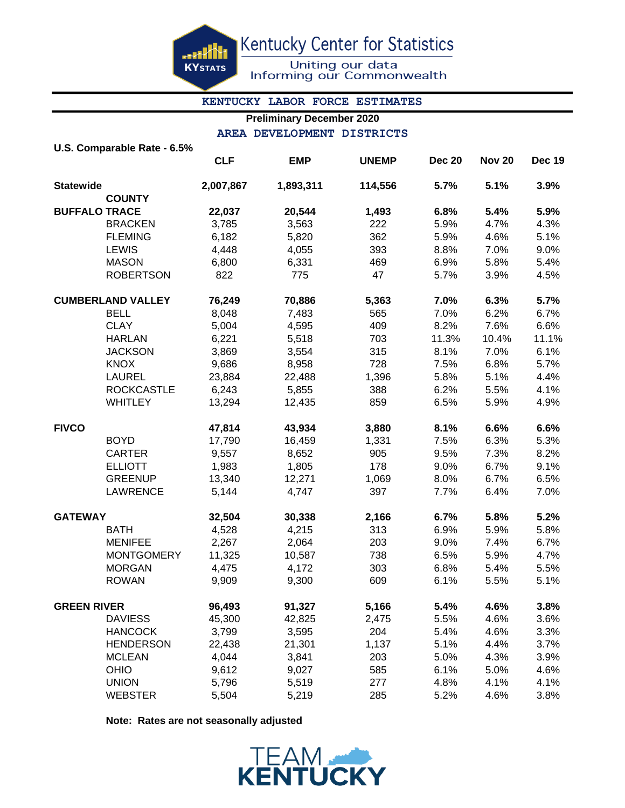<u>arki</u> **KYSTATS**  Kentucky Center for Statistics

Uniting our data<br>Informing our Commonwealth

## **KENTUCKY LABOR FORCE ESTIMATES**

# **Preliminary December 2020**

**AREA DEVELOPMENT DISTRICTS**

|                      | U.S. Comparable Rate - 6.5% |            |            |              |               |               |               |
|----------------------|-----------------------------|------------|------------|--------------|---------------|---------------|---------------|
|                      |                             | <b>CLF</b> | <b>EMP</b> | <b>UNEMP</b> | <b>Dec 20</b> | <b>Nov 20</b> | <b>Dec 19</b> |
| <b>Statewide</b>     |                             | 2,007,867  | 1,893,311  | 114,556      | 5.7%          | 5.1%          | 3.9%          |
|                      | <b>COUNTY</b>               |            |            |              |               |               |               |
| <b>BUFFALO TRACE</b> |                             | 22,037     | 20,544     | 1,493        | 6.8%          | 5.4%          | 5.9%          |
|                      | <b>BRACKEN</b>              | 3,785      | 3,563      | 222          | 5.9%          | 4.7%          | 4.3%          |
|                      | <b>FLEMING</b>              | 6,182      | 5,820      | 362          | 5.9%          | 4.6%          | 5.1%          |
|                      | <b>LEWIS</b>                | 4,448      | 4,055      | 393          | 8.8%          | 7.0%          | 9.0%          |
|                      | <b>MASON</b>                | 6,800      | 6,331      | 469          | 6.9%          | 5.8%          | 5.4%          |
|                      | <b>ROBERTSON</b>            | 822        | 775        | 47           | 5.7%          | 3.9%          | 4.5%          |
|                      | <b>CUMBERLAND VALLEY</b>    | 76,249     | 70,886     | 5,363        | 7.0%          | 6.3%          | 5.7%          |
|                      | <b>BELL</b>                 | 8,048      | 7,483      | 565          | 7.0%          | 6.2%          | 6.7%          |
|                      | <b>CLAY</b>                 | 5,004      | 4,595      | 409          | 8.2%          | 7.6%          | 6.6%          |
|                      | <b>HARLAN</b>               | 6,221      | 5,518      | 703          | 11.3%         | 10.4%         | 11.1%         |
|                      | <b>JACKSON</b>              | 3,869      | 3,554      | 315          | 8.1%          | 7.0%          | 6.1%          |
|                      | <b>KNOX</b>                 | 9,686      | 8,958      | 728          | 7.5%          | 6.8%          | 5.7%          |
|                      | <b>LAUREL</b>               | 23,884     | 22,488     | 1,396        | 5.8%          | 5.1%          | 4.4%          |
|                      | <b>ROCKCASTLE</b>           | 6,243      | 5,855      | 388          | 6.2%          | 5.5%          | 4.1%          |
|                      | <b>WHITLEY</b>              | 13,294     | 12,435     | 859          | 6.5%          | 5.9%          | 4.9%          |
| <b>FIVCO</b>         |                             | 47,814     | 43,934     | 3,880        | 8.1%          | 6.6%          | 6.6%          |
|                      | <b>BOYD</b>                 | 17,790     | 16,459     | 1,331        | 7.5%          | 6.3%          | 5.3%          |
|                      | <b>CARTER</b>               | 9,557      | 8,652      | 905          | 9.5%          | 7.3%          | 8.2%          |
|                      | <b>ELLIOTT</b>              | 1,983      | 1,805      | 178          | 9.0%          | 6.7%          | 9.1%          |
|                      | <b>GREENUP</b>              | 13,340     | 12,271     | 1,069        | 8.0%          | 6.7%          | 6.5%          |
|                      | <b>LAWRENCE</b>             | 5,144      | 4,747      | 397          | 7.7%          | 6.4%          | 7.0%          |
| <b>GATEWAY</b>       |                             | 32,504     | 30,338     | 2,166        | 6.7%          | 5.8%          | 5.2%          |
|                      | <b>BATH</b>                 | 4,528      | 4,215      | 313          | 6.9%          | 5.9%          | 5.8%          |
|                      | <b>MENIFEE</b>              | 2,267      | 2,064      | 203          | 9.0%          | 7.4%          | 6.7%          |
|                      | <b>MONTGOMERY</b>           | 11,325     | 10,587     | 738          | 6.5%          | 5.9%          | 4.7%          |
|                      | <b>MORGAN</b>               | 4,475      | 4,172      | 303          | 6.8%          | 5.4%          | 5.5%          |
|                      | <b>ROWAN</b>                | 9,909      | 9,300      | 609          | 6.1%          | 5.5%          | 5.1%          |
| <b>GREEN RIVER</b>   |                             | 96,493     | 91,327     | 5,166        | 5.4%          | 4.6%          | 3.8%          |
|                      | <b>DAVIESS</b>              | 45,300     | 42,825     | 2,475        | 5.5%          | 4.6%          | 3.6%          |
|                      | <b>HANCOCK</b>              | 3,799      | 3,595      | 204          | 5.4%          | 4.6%          | 3.3%          |
|                      | <b>HENDERSON</b>            | 22,438     | 21,301     | 1,137        | 5.1%          | 4.4%          | 3.7%          |
|                      | <b>MCLEAN</b>               | 4,044      | 3,841      | 203          | 5.0%          | 4.3%          | 3.9%          |
|                      | <b>OHIO</b>                 | 9,612      | 9,027      | 585          | 6.1%          | 5.0%          | 4.6%          |
|                      | <b>UNION</b>                | 5,796      | 5,519      | 277          | 4.8%          | 4.1%          | 4.1%          |
|                      | <b>WEBSTER</b>              | 5,504      | 5,219      | 285          | 5.2%          | 4.6%          | 3.8%          |

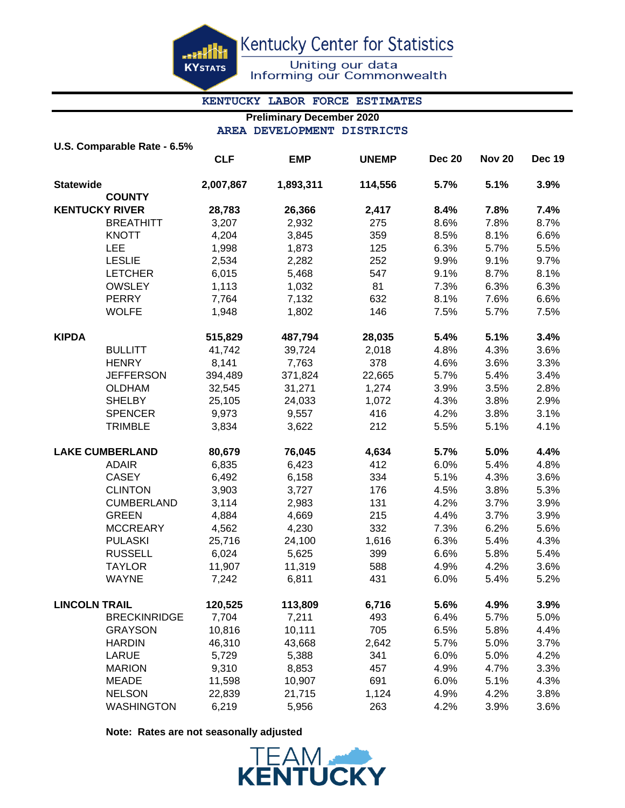æH **KYSTATS**  Kentucky Center for Statistics

Uniting our data<br>Informing our Commonwealth

# **KENTUCKY LABOR FORCE ESTIMATES**

# **Preliminary December 2020**

**AREA DEVELOPMENT DISTRICTS**

|                       | U.S. Comparable Rate - 6.5% |            |            |              |               |               |               |
|-----------------------|-----------------------------|------------|------------|--------------|---------------|---------------|---------------|
|                       |                             | <b>CLF</b> | <b>EMP</b> | <b>UNEMP</b> | <b>Dec 20</b> | <b>Nov 20</b> | <b>Dec 19</b> |
| <b>Statewide</b>      |                             | 2,007,867  | 1,893,311  | 114,556      | 5.7%          | 5.1%          | 3.9%          |
|                       | <b>COUNTY</b>               |            |            |              |               |               |               |
| <b>KENTUCKY RIVER</b> |                             | 28,783     | 26,366     | 2,417        | 8.4%          | 7.8%          | 7.4%          |
|                       | <b>BREATHITT</b>            | 3,207      | 2,932      | 275          | 8.6%          | 7.8%          | 8.7%          |
|                       | <b>KNOTT</b>                | 4,204      | 3,845      | 359          | 8.5%          | 8.1%          | 6.6%          |
|                       | <b>LEE</b>                  | 1,998      | 1,873      | 125          | 6.3%          | 5.7%          | 5.5%          |
|                       | <b>LESLIE</b>               | 2,534      | 2,282      | 252          | 9.9%          | 9.1%          | 9.7%          |
|                       | <b>LETCHER</b>              | 6,015      | 5,468      | 547          | 9.1%          | 8.7%          | 8.1%          |
|                       | <b>OWSLEY</b>               | 1,113      | 1,032      | 81           | 7.3%          | 6.3%          | 6.3%          |
|                       | <b>PERRY</b>                | 7,764      | 7,132      | 632          | 8.1%          | 7.6%          | 6.6%          |
|                       | <b>WOLFE</b>                | 1,948      | 1,802      | 146          | 7.5%          | 5.7%          | 7.5%          |
| <b>KIPDA</b>          |                             | 515,829    | 487,794    | 28,035       | 5.4%          | 5.1%          | 3.4%          |
|                       | <b>BULLITT</b>              | 41,742     | 39,724     | 2,018        | 4.8%          | 4.3%          | 3.6%          |
|                       | <b>HENRY</b>                | 8,141      | 7,763      | 378          | 4.6%          | 3.6%          | 3.3%          |
|                       | <b>JEFFERSON</b>            | 394,489    | 371,824    | 22,665       | 5.7%          | 5.4%          | 3.4%          |
|                       | <b>OLDHAM</b>               | 32,545     | 31,271     | 1,274        | 3.9%          | 3.5%          | 2.8%          |
|                       | <b>SHELBY</b>               | 25,105     | 24,033     | 1,072        | 4.3%          | 3.8%          | 2.9%          |
|                       | <b>SPENCER</b>              | 9,973      | 9,557      | 416          | 4.2%          | 3.8%          | 3.1%          |
|                       | <b>TRIMBLE</b>              | 3,834      | 3,622      | 212          | 5.5%          | 5.1%          | 4.1%          |
|                       | <b>LAKE CUMBERLAND</b>      | 80,679     | 76,045     | 4,634        | 5.7%          | 5.0%          | 4.4%          |
|                       | <b>ADAIR</b>                | 6,835      | 6,423      | 412          | 6.0%          | 5.4%          | 4.8%          |
|                       | <b>CASEY</b>                | 6,492      | 6,158      | 334          | 5.1%          | 4.3%          | 3.6%          |
|                       | <b>CLINTON</b>              | 3,903      | 3,727      | 176          | 4.5%          | 3.8%          | 5.3%          |
|                       | <b>CUMBERLAND</b>           | 3,114      | 2,983      | 131          | 4.2%          | 3.7%          | 3.9%          |
|                       | <b>GREEN</b>                | 4,884      | 4,669      | 215          | 4.4%          | 3.7%          | 3.9%          |
|                       | <b>MCCREARY</b>             | 4,562      | 4,230      | 332          | 7.3%          | 6.2%          | 5.6%          |
|                       | <b>PULASKI</b>              | 25,716     | 24,100     | 1,616        | 6.3%          | 5.4%          | 4.3%          |
|                       | <b>RUSSELL</b>              | 6,024      | 5,625      | 399          | 6.6%          | 5.8%          | 5.4%          |
|                       | <b>TAYLOR</b>               | 11,907     | 11,319     | 588          | 4.9%          | 4.2%          | 3.6%          |
|                       | WAYNE                       | 7,242      | 6,811      | 431          | 6.0%          | 5.4%          | 5.2%          |
| <b>LINCOLN TRAIL</b>  |                             | 120,525    | 113,809    | 6,716        | 5.6%          | 4.9%          | 3.9%          |
|                       | <b>BRECKINRIDGE</b>         | 7,704      | 7,211      | 493          | 6.4%          | 5.7%          | 5.0%          |
|                       | <b>GRAYSON</b>              | 10,816     | 10,111     | 705          | 6.5%          | 5.8%          | 4.4%          |
|                       | <b>HARDIN</b>               | 46,310     | 43,668     | 2,642        | 5.7%          | 5.0%          | 3.7%          |
|                       | LARUE                       | 5,729      | 5,388      | 341          | 6.0%          | 5.0%          | 4.2%          |
|                       | <b>MARION</b>               | 9,310      | 8,853      | 457          | 4.9%          | 4.7%          | 3.3%          |
|                       | <b>MEADE</b>                | 11,598     | 10,907     | 691          | 6.0%          | 5.1%          | 4.3%          |
|                       | <b>NELSON</b>               | 22,839     | 21,715     | 1,124        | 4.9%          | 4.2%          | 3.8%          |
|                       | <b>WASHINGTON</b>           | 6,219      | 5,956      | 263          | 4.2%          | 3.9%          | 3.6%          |